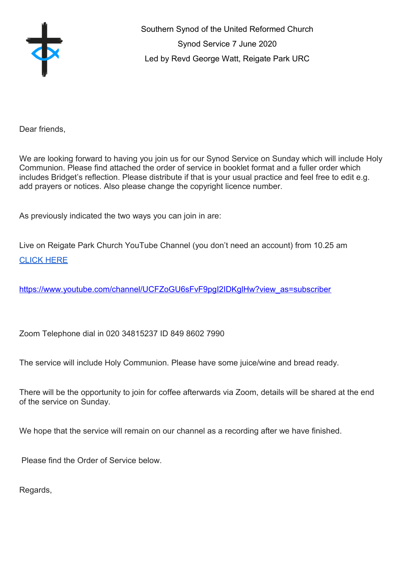

Southern Synod of the United Reformed Church Synod Service 7 June 2020 Led by Revd George Watt, Reigate Park URC

Dear friends,

We are looking forward to having you join us for our Synod Service on Sunday which will include Holy Communion. Please find attached the order of service in booklet format and a fuller order which includes Bridget's reflection. Please distribute if that is your usual practice and feel free to edit e.g. add prayers or notices. Also please change the copyright licence number.

As previously indicated the two ways you can join in are:

Live on Reigate Park Church YouTube Channel (you don't need an account) from 10.25 am [CLICK HERE](https://www.youtube.com/channel/UCFZoGU6sFvF9pgI2IDKglHw?view_as=subscriber)

[https://www.youtube.com/channel/UCFZoGU6sFvF9pgI2IDKglHw?view\\_as=subscriber](https://www.youtube.com/channel/UCFZoGU6sFvF9pgI2IDKglHw?view_as=subscriber)

Zoom Telephone dial in 020 34815237 ID 849 8602 7990

The service will include Holy Communion. Please have some juice/wine and bread ready.

There will be the opportunity to join for coffee afterwards via Zoom, details will be shared at the end of the service on Sunday.

We hope that the service will remain on our channel as a recording after we have finished.

Please find the Order of Service below.

Regards,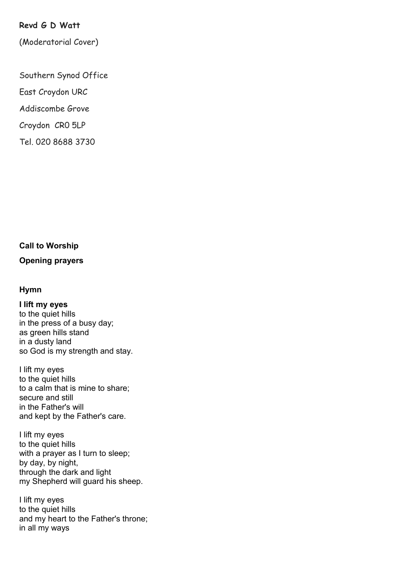# **Revd G D Watt**

(Moderatorial Cover)

Southern Synod Office

East Croydon URC

Addiscombe Grove

Croydon CR0 5LP

Tel. 020 8688 3730

## **Call to Worship**

## **Opening prayers**

#### **Hymn**

**I lift my eyes** to the quiet hills in the press of a busy day; as green hills stand in a dusty land so God is my strength and stay.

I lift my eyes to the quiet hills to a calm that is mine to share; secure and still in the Father's will and kept by the Father's care.

I lift my eyes to the quiet hills with a prayer as I turn to sleep; by day, by night, through the dark and light my Shepherd will guard his sheep.

I lift my eyes to the quiet hills and my heart to the Father's throne; in all my ways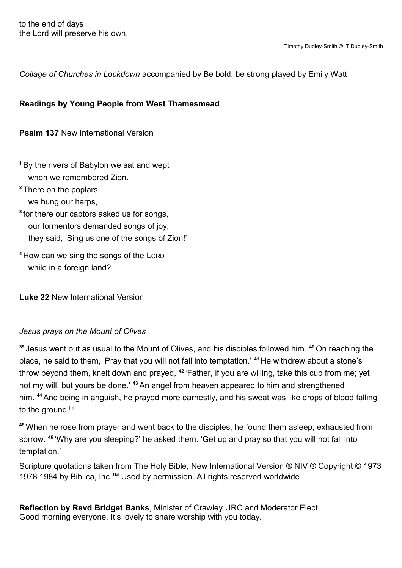*Collage of Churches in Lockdown* accompanied by Be bold, be strong played by Emily Watt

# **Readings by Young People from West Thamesmead**

**Psalm 137** New International Version

**<sup>1</sup>**By the rivers of Babylon we sat and wept when we remembered Zion.

- **<sup>2</sup>** There on the poplars we hung our harps,
- **3** for there our captors asked us for songs, our tormentors demanded songs of joy; they said, 'Sing us one of the songs of Zion!'
- **<sup>4</sup>** How can we sing the songs of the LORD while in a foreign land?

**Luke 22** New International Version

## *Jesus prays on the Mount of Olives*

**<sup>39</sup>** Jesus went out as usual to the Mount of Olives, and his disciples followed him. **<sup>40</sup>** On reaching the place, he said to them, 'Pray that you will not fall into temptation.' **<sup>41</sup>** He withdrew about a stone's throw beyond them, knelt down and prayed, **<sup>42</sup>** 'Father, if you are willing, take this cup from me; yet not my will, but yours be done.' **<sup>43</sup>** An angel from heaven appeared to him and strengthened him. **<sup>44</sup>**And being in anguish, he prayed more earnestly, and his sweat was like drops of blood falling to the ground.  $[6]$ 

<span id="page-2-0"></span>**<sup>45</sup>** When he rose from prayer and went back to the disciples, he found them asleep, exhausted from sorrow. **<sup>46</sup>** 'Why are you sleeping?' he asked them. 'Get up and pray so that you will not fall into temptation.'

Scripture quotations taken from The Holy Bible, New International Version ® NIV ® Copyright © 1973 1978 1984 by Biblica, Inc.<sup>™</sup> Used by permission. All rights reserved worldwide

**Reflection by Revd Bridget Banks**, Minister of Crawley URC and Moderator Elect Good morning everyone. It's lovely to share worship with you today.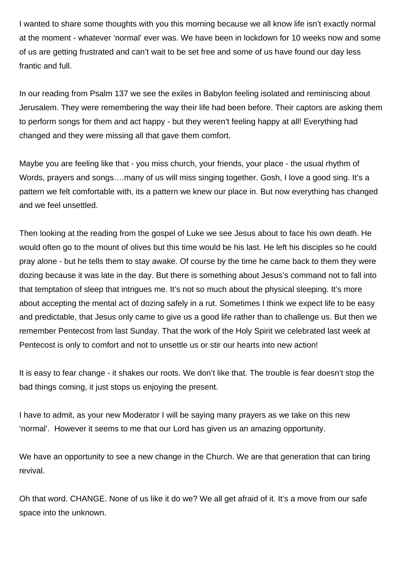I wanted to share some thoughts with you this morning because we all know life isn't exactly normal at the moment - whatever 'normal' ever was. We have been in lockdown for 10 weeks now and some of us are getting frustrated and can't wait to be set free and some of us have found our day less frantic and full.

In our reading from Psalm 137 we see the exiles in Babylon feeling isolated and reminiscing about Jerusalem. They were remembering the way their life had been before. Their captors are asking them to perform songs for them and act happy - but they weren't feeling happy at all! Everything had changed and they were missing all that gave them comfort.

Maybe you are feeling like that - you miss church, your friends, your place - the usual rhythm of Words, prayers and songs….many of us will miss singing together. Gosh, I love a good sing. It's a pattern we felt comfortable with, its a pattern we knew our place in. But now everything has changed and we feel unsettled.

Then looking at the reading from the gospel of Luke we see Jesus about to face his own death. He would often go to the mount of olives but this time would be his last. He left his disciples so he could pray alone - but he tells them to stay awake. Of course by the time he came back to them they were dozing because it was late in the day. But there is something about Jesus's command not to fall into that temptation of sleep that intrigues me. It's not so much about the physical sleeping. It's more about accepting the mental act of dozing safely in a rut. Sometimes I think we expect life to be easy and predictable, that Jesus only came to give us a good life rather than to challenge us. But then we remember Pentecost from last Sunday. That the work of the Holy Spirit we celebrated last week at Pentecost is only to comfort and not to unsettle us or stir our hearts into new action!

It is easy to fear change - it shakes our roots. We don't like that. The trouble is fear doesn't stop the bad things coming, it just stops us enjoying the present.

I have to admit, as your new Moderator I will be saying many prayers as we take on this new 'normal'. However it seems to me that our Lord has given us an amazing opportunity.

We have an opportunity to see a new change in the Church. We are that generation that can bring revival.

Oh that word. CHANGE. None of us like it do we? We all get afraid of it. It's a move from our safe space into the unknown.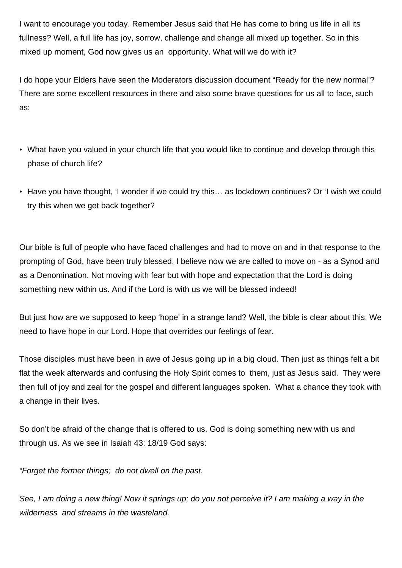I want to encourage you today. Remember Jesus said that He has come to bring us life in all its fullness? Well, a full life has joy, sorrow, challenge and change all mixed up together. So in this mixed up moment, God now gives us an opportunity. What will we do with it?

I do hope your Elders have seen the Moderators discussion document "Ready for the new normal'? There are some excellent resources in there and also some brave questions for us all to face, such as:

- What have you valued in your church life that you would like to continue and develop through this phase of church life?
- Have you have thought, 'I wonder if we could try this... as lockdown continues? Or 'I wish we could try this when we get back together?

Our bible is full of people who have faced challenges and had to move on and in that response to the prompting of God, have been truly blessed. I believe now we are called to move on - as a Synod and as a Denomination. Not moving with fear but with hope and expectation that the Lord is doing something new within us. And if the Lord is with us we will be blessed indeed!

But just how are we supposed to keep 'hope' in a strange land? Well, the bible is clear about this. We need to have hope in our Lord. Hope that overrides our feelings of fear.

Those disciples must have been in awe of Jesus going up in a big cloud. Then just as things felt a bit flat the week afterwards and confusing the Holy Spirit comes to them, just as Jesus said. They were then full of joy and zeal for the gospel and different languages spoken. What a chance they took with a change in their lives.

So don't be afraid of the change that is offered to us. God is doing something new with us and through us. As we see in Isaiah 43: 18/19 God says:

"Forget the former things; do not dwell on the past.

See, I am doing a new thing! Now it springs up; do you not perceive it? I am making a way in the wilderness and streams in the wasteland.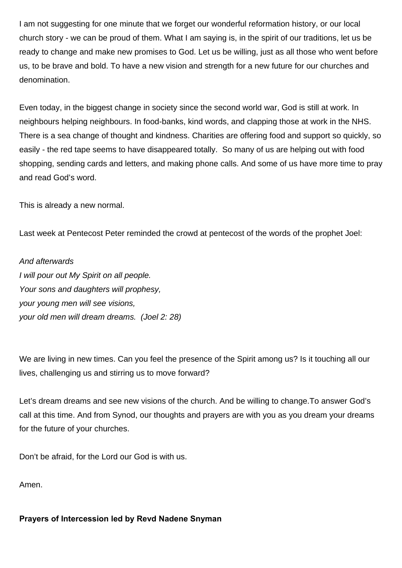I am not suggesting for one minute that we forget our wonderful reformation history, or our local church story - we can be proud of them. What I am saying is, in the spirit of our traditions, let us be ready to change and make new promises to God. Let us be willing, just as all those who went before us, to be brave and bold. To have a new vision and strength for a new future for our churches and denomination.

Even today, in the biggest change in society since the second world war, God is still at work. In neighbours helping neighbours. In food-banks, kind words, and clapping those at work in the NHS. There is a sea change of thought and kindness. Charities are offering food and support so quickly, so easily - the red tape seems to have disappeared totally. So many of us are helping out with food shopping, sending cards and letters, and making phone calls. And some of us have more time to pray and read God's word.

This is already a new normal.

Last week at Pentecost Peter reminded the crowd at pentecost of the words of the prophet Joel:

And afterwards I will pour out My Spirit on all people. Your sons and daughters will prophesy, your young men will see visions, your old men will dream dreams. (Joel 2: 28)

We are living in new times. Can you feel the presence of the Spirit among us? Is it touching all our lives, challenging us and stirring us to move forward?

Let's dream dreams and see new visions of the church. And be willing to change.To answer God's call at this time. And from Synod, our thoughts and prayers are with you as you dream your dreams for the future of your churches.

Don't be afraid, for the Lord our God is with us.

Amen.

**Prayers of Intercession led by Revd Nadene Snyman**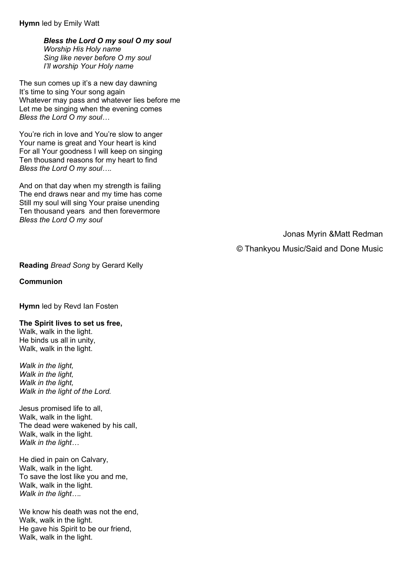**Hymn** led by Emily Watt

*Bless the Lord O my soul O my soul Worship His Holy name Sing like never before O my soul I'll worship Your Holy name*

The sun comes up it's a new day dawning It's time to sing Your song again Whatever may pass and whatever lies before me Let me be singing when the evening comes *Bless the Lord O my soul…*

You're rich in love and You're slow to anger Your name is great and Your heart is kind For all Your goodness I will keep on singing Ten thousand reasons for my heart to find *Bless the Lord O my soul….*

And on that day when my strength is failing The end draws near and my time has come Still my soul will sing Your praise unending Ten thousand years and then forevermore *Bless the Lord O my soul*

Jonas Myrin &Matt Redman

© Thankyou Music/Said and Done Music

**Reading** *Bread Song* by Gerard Kelly

**Communion**

**Hymn** led by Revd Ian Fosten

**The Spirit lives to set us free,**

Walk, walk in the light. He binds us all in unity, Walk, walk in the light.

*Walk in the light, Walk in the light, Walk in the light, Walk in the light of the Lord.*

Jesus promised life to all, Walk, walk in the light. The dead were wakened by his call, Walk, walk in the light. *Walk in the light…*

He died in pain on Calvary, Walk, walk in the light. To save the lost like you and me, Walk, walk in the light. *Walk in the light….*

We know his death was not the end, Walk, walk in the light. He gave his Spirit to be our friend, Walk, walk in the light.